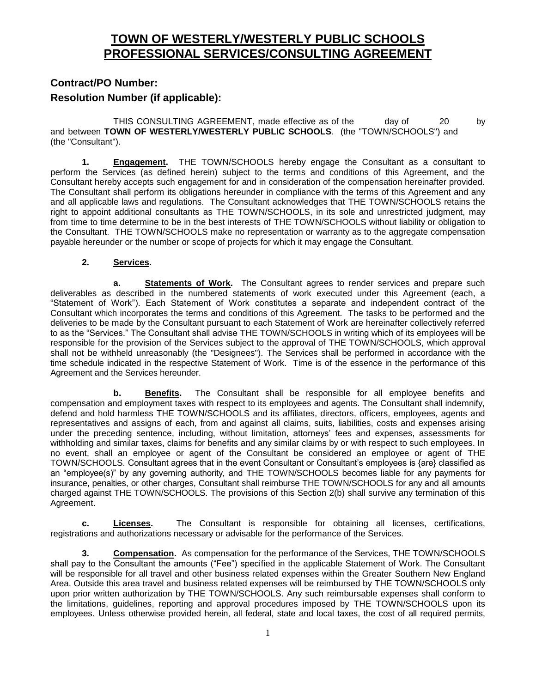# **TOWN OF WESTERLY/WESTERLY PUBLIC SCHOOLS PROFESSIONAL SERVICES/CONSULTING AGREEMENT**

## **Contract/PO Number: Resolution Number (if applicable):**

THIS CONSULTING AGREEMENT, made effective as of the day of 20 by and between **TOWN OF WESTERLY/WESTERLY PUBLIC SCHOOLS**. (the "TOWN/SCHOOLS") and (the "Consultant").

**1. Engagement.** THE TOWN/SCHOOLS hereby engage the Consultant as a consultant to perform the Services (as defined herein) subject to the terms and conditions of this Agreement, and the Consultant hereby accepts such engagement for and in consideration of the compensation hereinafter provided. The Consultant shall perform its obligations hereunder in compliance with the terms of this Agreement and any and all applicable laws and regulations. The Consultant acknowledges that THE TOWN/SCHOOLS retains the right to appoint additional consultants as THE TOWN/SCHOOLS, in its sole and unrestricted judgment, may from time to time determine to be in the best interests of THE TOWN/SCHOOLS without liability or obligation to the Consultant. THE TOWN/SCHOOLS make no representation or warranty as to the aggregate compensation payable hereunder or the number or scope of projects for which it may engage the Consultant.

#### **2. Services.**

**a. Statements of Work.** The Consultant agrees to render services and prepare such deliverables as described in the numbered statements of work executed under this Agreement (each, a "Statement of Work"). Each Statement of Work constitutes a separate and independent contract of the Consultant which incorporates the terms and conditions of this Agreement. The tasks to be performed and the deliveries to be made by the Consultant pursuant to each Statement of Work are hereinafter collectively referred to as the "Services." The Consultant shall advise THE TOWN/SCHOOLS in writing which of its employees will be responsible for the provision of the Services subject to the approval of THE TOWN/SCHOOLS, which approval shall not be withheld unreasonably (the "Designees"). The Services shall be performed in accordance with the time schedule indicated in the respective Statement of Work. Time is of the essence in the performance of this Agreement and the Services hereunder.

**b. Benefits.** The Consultant shall be responsible for all employee benefits and compensation and employment taxes with respect to its employees and agents. The Consultant shall indemnify, defend and hold harmless THE TOWN/SCHOOLS and its affiliates, directors, officers, employees, agents and representatives and assigns of each, from and against all claims, suits, liabilities, costs and expenses arising under the preceding sentence, including, without limitation, attorneys' fees and expenses, assessments for withholding and similar taxes, claims for benefits and any similar claims by or with respect to such employees. In no event, shall an employee or agent of the Consultant be considered an employee or agent of THE TOWN/SCHOOLS. Consultant agrees that in the event Consultant or Consultant's employees is {are} classified as an "employee(s)" by any governing authority, and THE TOWN/SCHOOLS becomes liable for any payments for insurance, penalties, or other charges, Consultant shall reimburse THE TOWN/SCHOOLS for any and all amounts charged against THE TOWN/SCHOOLS. The provisions of this Section 2(b) shall survive any termination of this Agreement.

**c. Licenses.** The Consultant is responsible for obtaining all licenses, certifications, registrations and authorizations necessary or advisable for the performance of the Services.

**3. Compensation.** As compensation for the performance of the Services, THE TOWN/SCHOOLS shall pay to the Consultant the amounts ("Fee") specified in the applicable Statement of Work. The Consultant will be responsible for all travel and other business related expenses within the Greater Southern New England Area. Outside this area travel and business related expenses will be reimbursed by THE TOWN/SCHOOLS only upon prior written authorization by THE TOWN/SCHOOLS. Any such reimbursable expenses shall conform to the limitations, guidelines, reporting and approval procedures imposed by THE TOWN/SCHOOLS upon its employees. Unless otherwise provided herein, all federal, state and local taxes, the cost of all required permits,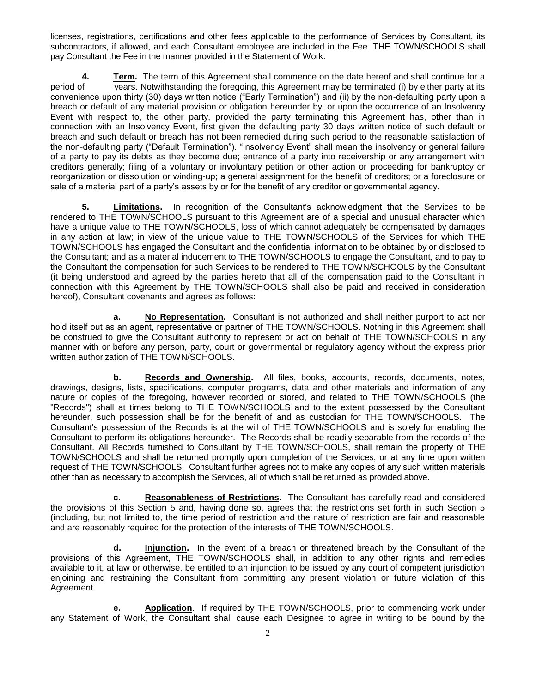licenses, registrations, certifications and other fees applicable to the performance of Services by Consultant, its subcontractors, if allowed, and each Consultant employee are included in the Fee. THE TOWN/SCHOOLS shall pay Consultant the Fee in the manner provided in the Statement of Work.

**4. Term.** The term of this Agreement shall commence on the date hereof and shall continue for a period of years. Notwithstanding the foregoing, this Agreement may be terminated (i) by either party at its  $\overline{y}$ ears. Notwithstanding the foregoing, this Agreement may be terminated (i) by either party at its convenience upon thirty (30) days written notice ("Early Termination") and (ii) by the non-defaulting party upon a breach or default of any material provision or obligation hereunder by, or upon the occurrence of an Insolvency Event with respect to, the other party, provided the party terminating this Agreement has, other than in connection with an Insolvency Event, first given the defaulting party 30 days written notice of such default or breach and such default or breach has not been remedied during such period to the reasonable satisfaction of the non-defaulting party ("Default Termination"). "Insolvency Event" shall mean the insolvency or general failure of a party to pay its debts as they become due; entrance of a party into receivership or any arrangement with creditors generally; filing of a voluntary or involuntary petition or other action or proceeding for bankruptcy or reorganization or dissolution or winding-up; a general assignment for the benefit of creditors; or a foreclosure or sale of a material part of a party's assets by or for the benefit of any creditor or governmental agency.

**5. Limitations.** In recognition of the Consultant's acknowledgment that the Services to be rendered to THE TOWN/SCHOOLS pursuant to this Agreement are of a special and unusual character which have a unique value to THE TOWN/SCHOOLS, loss of which cannot adequately be compensated by damages in any action at law; in view of the unique value to THE TOWN/SCHOOLS of the Services for which THE TOWN/SCHOOLS has engaged the Consultant and the confidential information to be obtained by or disclosed to the Consultant; and as a material inducement to THE TOWN/SCHOOLS to engage the Consultant, and to pay to the Consultant the compensation for such Services to be rendered to THE TOWN/SCHOOLS by the Consultant (it being understood and agreed by the parties hereto that all of the compensation paid to the Consultant in connection with this Agreement by THE TOWN/SCHOOLS shall also be paid and received in consideration hereof), Consultant covenants and agrees as follows:

**a. No Representation.** Consultant is not authorized and shall neither purport to act nor hold itself out as an agent, representative or partner of THE TOWN/SCHOOLS. Nothing in this Agreement shall be construed to give the Consultant authority to represent or act on behalf of THE TOWN/SCHOOLS in any manner with or before any person, party, court or governmental or regulatory agency without the express prior written authorization of THE TOWN/SCHOOLS.

**b. Records and Ownership.** All files, books, accounts, records, documents, notes, drawings, designs, lists, specifications, computer programs, data and other materials and information of any nature or copies of the foregoing, however recorded or stored, and related to THE TOWN/SCHOOLS (the "Records") shall at times belong to THE TOWN/SCHOOLS and to the extent possessed by the Consultant hereunder, such possession shall be for the benefit of and as custodian for THE TOWN/SCHOOLS. The Consultant's possession of the Records is at the will of THE TOWN/SCHOOLS and is solely for enabling the Consultant to perform its obligations hereunder. The Records shall be readily separable from the records of the Consultant. All Records furnished to Consultant by THE TOWN/SCHOOLS, shall remain the property of THE TOWN/SCHOOLS and shall be returned promptly upon completion of the Services, or at any time upon written request of THE TOWN/SCHOOLS. Consultant further agrees not to make any copies of any such written materials other than as necessary to accomplish the Services, all of which shall be returned as provided above.

**c. Reasonableness of Restrictions.** The Consultant has carefully read and considered the provisions of this Section 5 and, having done so, agrees that the restrictions set forth in such Section 5 (including, but not limited to, the time period of restriction and the nature of restriction are fair and reasonable and are reasonably required for the protection of the interests of THE TOWN/SCHOOLS.

**d. Injunction.** In the event of a breach or threatened breach by the Consultant of the provisions of this Agreement, THE TOWN/SCHOOLS shall, in addition to any other rights and remedies available to it, at law or otherwise, be entitled to an injunction to be issued by any court of competent jurisdiction enjoining and restraining the Consultant from committing any present violation or future violation of this Agreement.

**e. Application**. If required by THE TOWN/SCHOOLS, prior to commencing work under any Statement of Work, the Consultant shall cause each Designee to agree in writing to be bound by the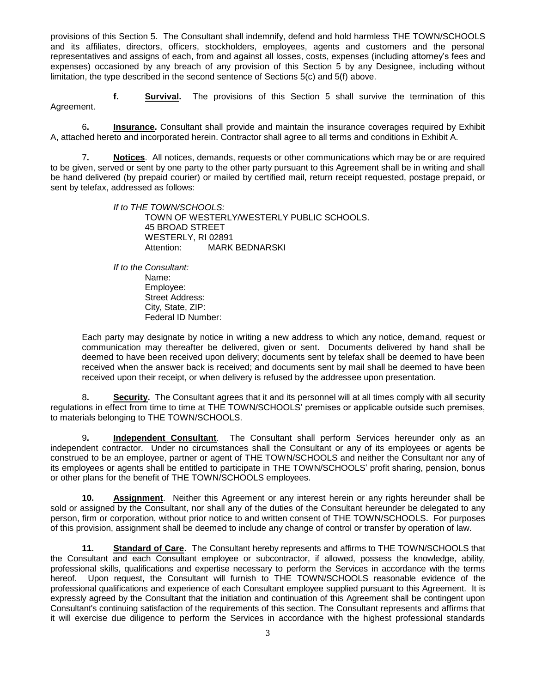provisions of this Section 5. The Consultant shall indemnify, defend and hold harmless THE TOWN/SCHOOLS and its affiliates, directors, officers, stockholders, employees, agents and customers and the personal representatives and assigns of each, from and against all losses, costs, expenses (including attorney's fees and expenses) occasioned by any breach of any provision of this Section 5 by any Designee, including without limitation, the type described in the second sentence of Sections 5(c) and 5(f) above.

**f. Survival.** The provisions of this Section 5 shall survive the termination of this Agreement.

6**. Insurance.** Consultant shall provide and maintain the insurance coverages required by Exhibit A, attached hereto and incorporated herein. Contractor shall agree to all terms and conditions in Exhibit A.

7**. Notices**. All notices, demands, requests or other communications which may be or are required to be given, served or sent by one party to the other party pursuant to this Agreement shall be in writing and shall be hand delivered (by prepaid courier) or mailed by certified mail, return receipt requested, postage prepaid, or sent by telefax, addressed as follows:

> *If to THE TOWN/SCHOOLS:* TOWN OF WESTERLY/WESTERLY PUBLIC SCHOOLS. 45 BROAD STREET WESTERLY, RI 02891 Attention: MARK BEDNARSKI

*If to the Consultant:* Name: Employee: Street Address: City, State, ZIP: Federal ID Number:

Each party may designate by notice in writing a new address to which any notice, demand, request or communication may thereafter be delivered, given or sent. Documents delivered by hand shall be deemed to have been received upon delivery; documents sent by telefax shall be deemed to have been received when the answer back is received; and documents sent by mail shall be deemed to have been received upon their receipt, or when delivery is refused by the addressee upon presentation.

8**. Security.** The Consultant agrees that it and its personnel will at all times comply with all security regulations in effect from time to time at THE TOWN/SCHOOLS' premises or applicable outside such premises, to materials belonging to THE TOWN/SCHOOLS.

9**. Independent Consultant**. The Consultant shall perform Services hereunder only as an independent contractor. Under no circumstances shall the Consultant or any of its employees or agents be construed to be an employee, partner or agent of THE TOWN/SCHOOLS and neither the Consultant nor any of its employees or agents shall be entitled to participate in THE TOWN/SCHOOLS' profit sharing, pension, bonus or other plans for the benefit of THE TOWN/SCHOOLS employees.

**10. Assignment**. Neither this Agreement or any interest herein or any rights hereunder shall be sold or assigned by the Consultant, nor shall any of the duties of the Consultant hereunder be delegated to any person, firm or corporation, without prior notice to and written consent of THE TOWN/SCHOOLS. For purposes of this provision, assignment shall be deemed to include any change of control or transfer by operation of law.

**11. Standard of Care.** The Consultant hereby represents and affirms to THE TOWN/SCHOOLS that the Consultant and each Consultant employee or subcontractor, if allowed, possess the knowledge, ability, professional skills, qualifications and expertise necessary to perform the Services in accordance with the terms hereof. Upon request, the Consultant will furnish to THE TOWN/SCHOOLS reasonable evidence of the professional qualifications and experience of each Consultant employee supplied pursuant to this Agreement. It is expressly agreed by the Consultant that the initiation and continuation of this Agreement shall be contingent upon Consultant's continuing satisfaction of the requirements of this section. The Consultant represents and affirms that it will exercise due diligence to perform the Services in accordance with the highest professional standards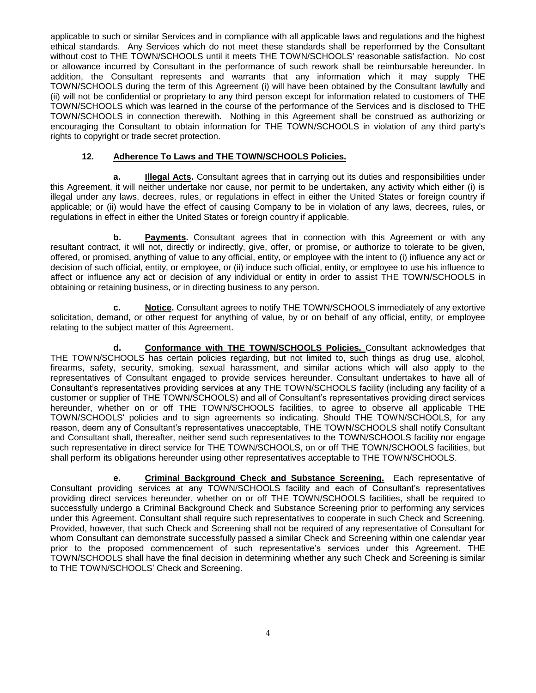applicable to such or similar Services and in compliance with all applicable laws and regulations and the highest ethical standards. Any Services which do not meet these standards shall be reperformed by the Consultant without cost to THE TOWN/SCHOOLS until it meets THE TOWN/SCHOOLS' reasonable satisfaction. No cost or allowance incurred by Consultant in the performance of such rework shall be reimbursable hereunder. In addition, the Consultant represents and warrants that any information which it may supply THE TOWN/SCHOOLS during the term of this Agreement (i) will have been obtained by the Consultant lawfully and (ii) will not be confidential or proprietary to any third person except for information related to customers of THE TOWN/SCHOOLS which was learned in the course of the performance of the Services and is disclosed to THE TOWN/SCHOOLS in connection therewith. Nothing in this Agreement shall be construed as authorizing or encouraging the Consultant to obtain information for THE TOWN/SCHOOLS in violation of any third party's rights to copyright or trade secret protection.

#### **12. Adherence To Laws and THE TOWN/SCHOOLS Policies.**

**a. Illegal Acts.** Consultant agrees that in carrying out its duties and responsibilities under this Agreement, it will neither undertake nor cause, nor permit to be undertaken, any activity which either (i) is illegal under any laws, decrees, rules, or regulations in effect in either the United States or foreign country if applicable; or (ii) would have the effect of causing Company to be in violation of any laws, decrees, rules, or regulations in effect in either the United States or foreign country if applicable.

**b. Payments.** Consultant agrees that in connection with this Agreement or with any resultant contract, it will not, directly or indirectly, give, offer, or promise, or authorize to tolerate to be given, offered, or promised, anything of value to any official, entity, or employee with the intent to (i) influence any act or decision of such official, entity, or employee, or (ii) induce such official, entity, or employee to use his influence to affect or influence any act or decision of any individual or entity in order to assist THE TOWN/SCHOOLS in obtaining or retaining business, or in directing business to any person.

**c. Notice.** Consultant agrees to notify THE TOWN/SCHOOLS immediately of any extortive solicitation, demand, or other request for anything of value, by or on behalf of any official, entity, or employee relating to the subject matter of this Agreement.

**d. Conformance with THE TOWN/SCHOOLS Policies.** Consultant acknowledges that THE TOWN/SCHOOLS has certain policies regarding, but not limited to, such things as drug use, alcohol, firearms, safety, security, smoking, sexual harassment, and similar actions which will also apply to the representatives of Consultant engaged to provide services hereunder. Consultant undertakes to have all of Consultant's representatives providing services at any THE TOWN/SCHOOLS facility (including any facility of a customer or supplier of THE TOWN/SCHOOLS) and all of Consultant's representatives providing direct services hereunder, whether on or off THE TOWN/SCHOOLS facilities, to agree to observe all applicable THE TOWN/SCHOOLS' policies and to sign agreements so indicating. Should THE TOWN/SCHOOLS, for any reason, deem any of Consultant's representatives unacceptable, THE TOWN/SCHOOLS shall notify Consultant and Consultant shall, thereafter, neither send such representatives to the TOWN/SCHOOLS facility nor engage such representative in direct service for THE TOWN/SCHOOLS, on or off THE TOWN/SCHOOLS facilities, but shall perform its obligations hereunder using other representatives acceptable to THE TOWN/SCHOOLS.

**e. Criminal Background Check and Substance Screening.** Each representative of Consultant providing services at any TOWN/SCHOOLS facility and each of Consultant's representatives providing direct services hereunder, whether on or off THE TOWN/SCHOOLS facilities, shall be required to successfully undergo a Criminal Background Check and Substance Screening prior to performing any services under this Agreement. Consultant shall require such representatives to cooperate in such Check and Screening. Provided, however, that such Check and Screening shall not be required of any representative of Consultant for whom Consultant can demonstrate successfully passed a similar Check and Screening within one calendar year prior to the proposed commencement of such representative's services under this Agreement. THE TOWN/SCHOOLS shall have the final decision in determining whether any such Check and Screening is similar to THE TOWN/SCHOOLS' Check and Screening.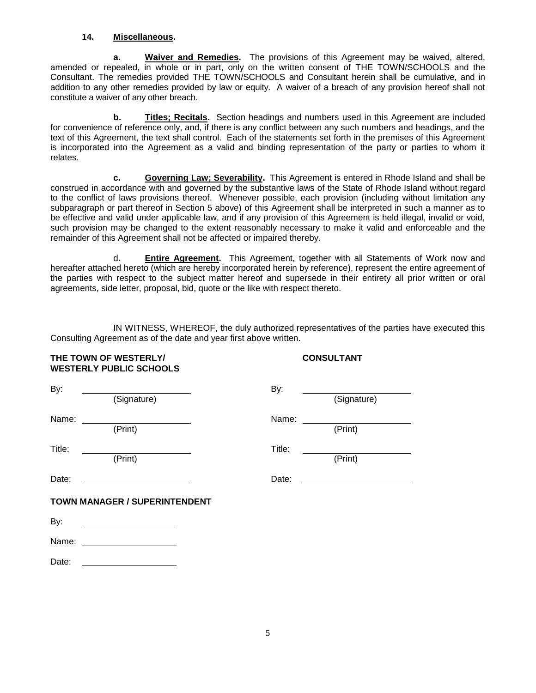#### **14. Miscellaneous.**

**a. Waiver and Remedies.** The provisions of this Agreement may be waived, altered, amended or repealed, in whole or in part, only on the written consent of THE TOWN/SCHOOLS and the Consultant. The remedies provided THE TOWN/SCHOOLS and Consultant herein shall be cumulative, and in addition to any other remedies provided by law or equity. A waiver of a breach of any provision hereof shall not constitute a waiver of any other breach.

**b. Titles; Recitals.** Section headings and numbers used in this Agreement are included for convenience of reference only, and, if there is any conflict between any such numbers and headings, and the text of this Agreement, the text shall control. Each of the statements set forth in the premises of this Agreement is incorporated into the Agreement as a valid and binding representation of the party or parties to whom it relates.

**c. Governing Law; Severability.** This Agreement is entered in Rhode Island and shall be construed in accordance with and governed by the substantive laws of the State of Rhode Island without regard to the conflict of laws provisions thereof. Whenever possible, each provision (including without limitation any subparagraph or part thereof in Section 5 above) of this Agreement shall be interpreted in such a manner as to be effective and valid under applicable law, and if any provision of this Agreement is held illegal, invalid or void, such provision may be changed to the extent reasonably necessary to make it valid and enforceable and the remainder of this Agreement shall not be affected or impaired thereby.

d**. Entire Agreement.** This Agreement, together with all Statements of Work now and hereafter attached hereto (which are hereby incorporated herein by reference), represent the entire agreement of the parties with respect to the subject matter hereof and supersede in their entirety all prior written or oral agreements, side letter, proposal, bid, quote or the like with respect thereto.

IN WITNESS, WHEREOF, the duly authorized representatives of the parties have executed this Consulting Agreement as of the date and year first above written.

|        | <b>WESTERLY PUBLIC SCHOOLS</b>                                                                                         |                      |             |
|--------|------------------------------------------------------------------------------------------------------------------------|----------------------|-------------|
| By:    | (Signature)                                                                                                            | By:                  | (Signature) |
|        | Name: <u>(Print)</u>                                                                                                   | Name: ______________ | (Print)     |
| Title: | (Print)                                                                                                                | Title:               | (Print)     |
| Date:  | <u> 1989 - Johann Barbara, martin amerikan basar da</u>                                                                | Date:                |             |
|        | <b>TOWN MANAGER / SUPERINTENDENT</b>                                                                                   |                      |             |
| By:    |                                                                                                                        |                      |             |
|        | Name: ___________________                                                                                              |                      |             |
| Date:  | <u> 1989 - Johann John Stone, mars et al. 1989 - John Stone, mars et al. 1989 - John Stone, mars et al. 1989 - Joh</u> |                      |             |

**THE TOWN OF WESTERLY/ CONSULTANT**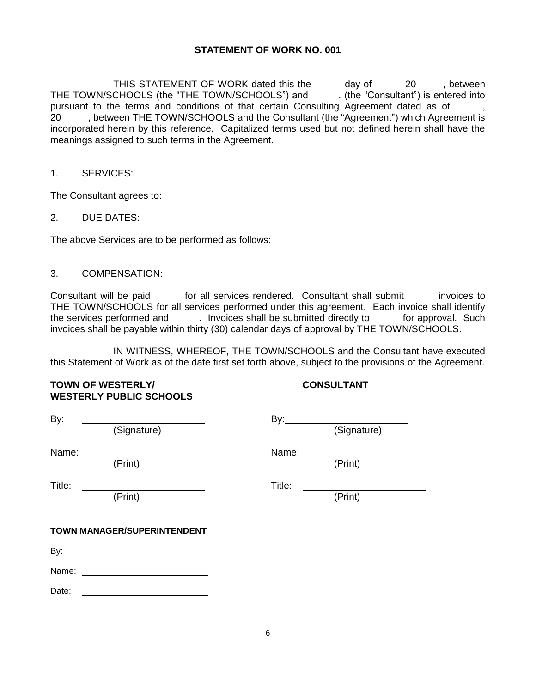#### **STATEMENT OF WORK NO. 001**

THIS STATEMENT OF WORK dated this the day of 20 , between THE TOWN/SCHOOLS (the "THE TOWN/SCHOOLS") and . (the "Consultant") is entered into pursuant to the terms and conditions of that certain Consulting Agreement dated as of 20 , between THE TOWN/SCHOOLS and the Consultant (the "Agreement") which Agreement is incorporated herein by this reference. Capitalized terms used but not defined herein shall have the meanings assigned to such terms in the Agreement.

#### 1. SERVICES:

The Consultant agrees to:

#### 2. DUE DATES:

The above Services are to be performed as follows:

#### 3. COMPENSATION:

Consultant will be paid for all services rendered. Consultant shall submit invoices to THE TOWN/SCHOOLS for all services performed under this agreement. Each invoice shall identify the services performed and . Invoices shall be submitted directly to for approval. Such invoices shall be payable within thirty (30) calendar days of approval by THE TOWN/SCHOOLS.

IN WITNESS, WHEREOF, THE TOWN/SCHOOLS and the Consultant have executed this Statement of Work as of the date first set forth above, subject to the provisions of the Agreement.

### **TOWN OF WESTERLY/** CONSULTANT **WESTERLY PUBLIC SCHOOLS**

| By:    |                             |        | By: (Signature) |
|--------|-----------------------------|--------|-----------------|
|        | (Signature)                 |        |                 |
| Name:  |                             | Name:  |                 |
|        | (Print)                     |        | (Print)         |
| Title: |                             | Title: |                 |
|        | (Print)                     |        | (Print)         |
|        | TOWN MANAGER/SUPERINTENDENT |        |                 |
| By:    |                             |        |                 |
| Name:  |                             |        |                 |
| Date:  |                             |        |                 |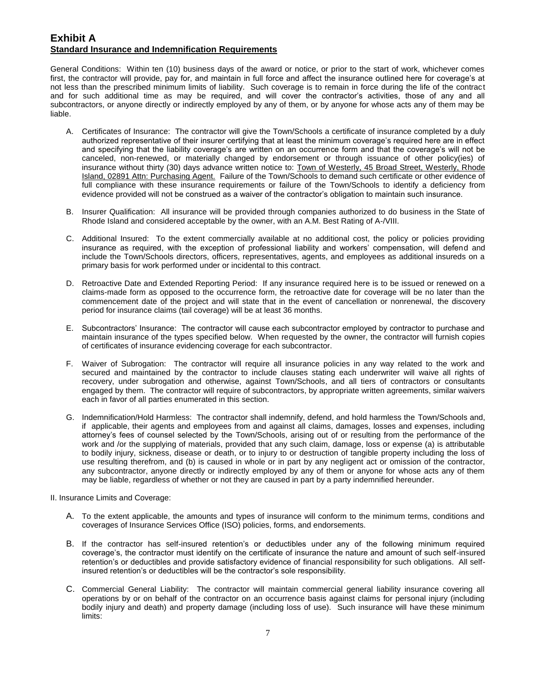### **Exhibit A Standard Insurance and Indemnification Requirements**

General Conditions: Within ten (10) business days of the award or notice, or prior to the start of work, whichever comes first, the contractor will provide, pay for, and maintain in full force and affect the insurance outlined here for coverage's at not less than the prescribed minimum limits of liability. Such coverage is to remain in force during the life of the contract and for such additional time as may be required, and will cover the contractor's activities, those of any and all subcontractors, or anyone directly or indirectly employed by any of them, or by anyone for whose acts any of them may be liable.

- A. Certificates of Insurance: The contractor will give the Town/Schools a certificate of insurance completed by a duly authorized representative of their insurer certifying that at least the minimum coverage's required here are in effect and specifying that the liability coverage's are written on an occurrence form and that the coverage's will not be canceled, non-renewed, or materially changed by endorsement or through issuance of other policy(ies) of insurance without thirty (30) days advance written notice to: Town of Westerly, 45 Broad Street, Westerly, Rhode Island, 02891 Attn: Purchasing Agent. Failure of the Town/Schools to demand such certificate or other evidence of full compliance with these insurance requirements or failure of the Town/Schools to identify a deficiency from evidence provided will not be construed as a waiver of the contractor's obligation to maintain such insurance.
- B. Insurer Qualification: All insurance will be provided through companies authorized to do business in the State of Rhode Island and considered acceptable by the owner, with an A.M. Best Rating of A-/VIII.
- C. Additional Insured: To the extent commercially available at no additional cost, the policy or policies providing insurance as required, with the exception of professional liability and workers' compensation, will defend and include the Town/Schools directors, officers, representatives, agents, and employees as additional insureds on a primary basis for work performed under or incidental to this contract.
- D. Retroactive Date and Extended Reporting Period: If any insurance required here is to be issued or renewed on a claims-made form as opposed to the occurrence form, the retroactive date for coverage will be no later than the commencement date of the project and will state that in the event of cancellation or nonrenewal, the discovery period for insurance claims (tail coverage) will be at least 36 months.
- E. Subcontractors' Insurance: The contractor will cause each subcontractor employed by contractor to purchase and maintain insurance of the types specified below. When requested by the owner, the contractor will furnish copies of certificates of insurance evidencing coverage for each subcontractor.
- F. Waiver of Subrogation: The contractor will require all insurance policies in any way related to the work and secured and maintained by the contractor to include clauses stating each underwriter will waive all rights of recovery, under subrogation and otherwise, against Town/Schools, and all tiers of contractors or consultants engaged by them. The contractor will require of subcontractors, by appropriate written agreements, similar waivers each in favor of all parties enumerated in this section.
- G. Indemnification/Hold Harmless: The contractor shall indemnify, defend, and hold harmless the Town/Schools and, if applicable, their agents and employees from and against all claims, damages, losses and expenses, including attorney's fees of counsel selected by the Town/Schools, arising out of or resulting from the performance of the work and /or the supplying of materials, provided that any such claim, damage, loss or expense (a) is attributable to bodily injury, sickness, disease or death, or to injury to or destruction of tangible property including the loss of use resulting therefrom, and (b) is caused in whole or in part by any negligent act or omission of the contractor, any subcontractor, anyone directly or indirectly employed by any of them or anyone for whose acts any of them may be liable, regardless of whether or not they are caused in part by a party indemnified hereunder.

#### II. Insurance Limits and Coverage:

- A. To the extent applicable, the amounts and types of insurance will conform to the minimum terms, conditions and coverages of Insurance Services Office (ISO) policies, forms, and endorsements.
- B. If the contractor has self-insured retention's or deductibles under any of the following minimum required coverage's, the contractor must identify on the certificate of insurance the nature and amount of such self-insured retention's or deductibles and provide satisfactory evidence of financial responsibility for such obligations. All selfinsured retention's or deductibles will be the contractor's sole responsibility.
- C. Commercial General Liability: The contractor will maintain commercial general liability insurance covering all operations by or on behalf of the contractor on an occurrence basis against claims for personal injury (including bodily injury and death) and property damage (including loss of use). Such insurance will have these minimum limits: